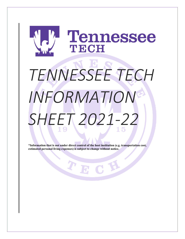

# *TENNESSEE TECH INFORMATION SHEET 2021-22*

**\*Information that is not under direct control of the host institution (e.g. transportation cost, estimated personal living expenses) is subject to change without notice.**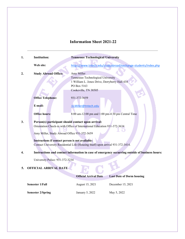# **Information Sheet 2021-22**

| 1. | <b>Institution:</b>                                                                                                                                                                                                                                                                                                  | <b>Tennessee Technological University</b>                                                                                                       |  |  |  |  |  |  |
|----|----------------------------------------------------------------------------------------------------------------------------------------------------------------------------------------------------------------------------------------------------------------------------------------------------------------------|-------------------------------------------------------------------------------------------------------------------------------------------------|--|--|--|--|--|--|
|    | Web site:                                                                                                                                                                                                                                                                                                            | https://www.tntech.edu/studyabroad/exchange-students/index.php                                                                                  |  |  |  |  |  |  |
| 2. | <b>Study Abroad Office:</b>                                                                                                                                                                                                                                                                                          | <b>Amy Miller</b><br>Tennessee Technological University<br>1 William L. Jones Drive, Derryberry Hall 434<br>PO Box 5163<br>Cookeville, TN 38505 |  |  |  |  |  |  |
|    | <b>Office Telephone:</b>                                                                                                                                                                                                                                                                                             | 931-372-3659                                                                                                                                    |  |  |  |  |  |  |
|    | E-mail:                                                                                                                                                                                                                                                                                                              | ALMiller@tntech.edu                                                                                                                             |  |  |  |  |  |  |
|    | <b>Office hours:</b>                                                                                                                                                                                                                                                                                                 | 8:00 am-12:00 pm and 1:00 pm-4:30 pm Central Time                                                                                               |  |  |  |  |  |  |
| 3. | Person(s) participant should contact upon arrival:<br>Orientation Check-in with Office of International Education 931-372-3634<br>Amy Miller, Study Abroad Office 931-372-3659<br>Instructions if contact person is not available:<br>Contact University Residential Life (Housing Staff) upon arrival 931-372-3414. |                                                                                                                                                 |  |  |  |  |  |  |
| 4. | Instructions and contact information in case of emergency occurring outside of business hours:                                                                                                                                                                                                                       |                                                                                                                                                 |  |  |  |  |  |  |
|    | University Police: 931-372-3234                                                                                                                                                                                                                                                                                      |                                                                                                                                                 |  |  |  |  |  |  |
| 5. | <b>OFFICIAL ARRIVAL DATE</b>                                                                                                                                                                                                                                                                                         |                                                                                                                                                 |  |  |  |  |  |  |
|    |                                                                                                                                                                                                                                                                                                                      | <b>Official Arrival Date</b><br><b>Last Date of Dorm housing</b>                                                                                |  |  |  |  |  |  |
|    | <b>Semester 1/Fall</b>                                                                                                                                                                                                                                                                                               | August 15, 2021<br>December 15, 2021                                                                                                            |  |  |  |  |  |  |
|    | <b>Semester 2/Spring</b>                                                                                                                                                                                                                                                                                             | May 5, 2022<br>January 5, 2022                                                                                                                  |  |  |  |  |  |  |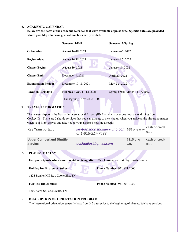# **6. ACADEMIC CALENDAR**

**Below are the dates of the academic calendar that were available at press time. Specific dates are provided where possible; otherwise general timelines are provided.**

|    |                                                                                                                                                                                                                                                                                                                 | <b>Semester 1/Fall</b> |                                                                | <b>Semester 2/Spring</b>          |                                 |                        |  |  |
|----|-----------------------------------------------------------------------------------------------------------------------------------------------------------------------------------------------------------------------------------------------------------------------------------------------------------------|------------------------|----------------------------------------------------------------|-----------------------------------|---------------------------------|------------------------|--|--|
|    | <b>Orientation:</b>                                                                                                                                                                                                                                                                                             | August 16-18, 2021     |                                                                | January 6-7, 2022                 |                                 |                        |  |  |
|    | <b>Registration:</b>                                                                                                                                                                                                                                                                                            | August 16-18, 2021     |                                                                | January 6-7, 2022                 |                                 |                        |  |  |
|    | <b>Classes Begin:</b>                                                                                                                                                                                                                                                                                           | August 19, 2021        |                                                                | January 10, 2022                  |                                 |                        |  |  |
|    | <b>Classes End:</b>                                                                                                                                                                                                                                                                                             | December 8, 2021       |                                                                | April 29, 2022                    |                                 |                        |  |  |
|    | <b>Examination Period:</b>                                                                                                                                                                                                                                                                                      |                        | December 10-15, 2021                                           | May 2-5, 2022                     |                                 |                        |  |  |
|    | <b>Vacation Period(s):</b>                                                                                                                                                                                                                                                                                      |                        | Fall break: Oct. 11-12, 2021                                   |                                   | Spring break: March 14-18, 2022 |                        |  |  |
|    |                                                                                                                                                                                                                                                                                                                 |                        | Thanksgiving: Nov. 24-26, 2021                                 |                                   |                                 |                        |  |  |
| 7. | <b>TRAVEL INFORMATION</b>                                                                                                                                                                                                                                                                                       |                        |                                                                |                                   |                                 |                        |  |  |
|    | The nearest airport is the Nashville International Airport (BNA) and it is over one hour away driving from<br>Cookeville. There are 2 shuttle services that you can arrange to pick you up when you arrive at the airport no matter<br>when your flight arrives and take you to your assigned housing directly: |                        |                                                                |                                   |                                 |                        |  |  |
|    | <b>Key Transportation</b>                                                                                                                                                                                                                                                                                       |                        | keytransportshuttle@juno.com \$95 one way<br>or 1-615-217-7433 |                                   |                                 | cash or credit<br>card |  |  |
|    | <b>Upper Cumberland Shuttle</b><br><b>Service</b>                                                                                                                                                                                                                                                               |                        | ucshuttles@gmail.com                                           |                                   | \$115 one<br>way                | cash or credit<br>card |  |  |
| 8. | <b>PLACES TO STAY</b>                                                                                                                                                                                                                                                                                           |                        |                                                                |                                   |                                 |                        |  |  |
|    | For participants who cannot avoid arriving after office hours (cost paid by participant):                                                                                                                                                                                                                       |                        |                                                                |                                   |                                 |                        |  |  |
|    | <b>Holiday Inn Express &amp; Suites</b>                                                                                                                                                                                                                                                                         |                        |                                                                | <b>Phone Number: 931-881-2000</b> |                                 |                        |  |  |
|    | 1228 Bunker Hill Rd., Cookeville, TN                                                                                                                                                                                                                                                                            |                        |                                                                |                                   |                                 |                        |  |  |
|    | <b>Fairfield Inn &amp; Suites</b>                                                                                                                                                                                                                                                                               |                        | Phone Number: 931-854-1050                                     |                                   |                                 |                        |  |  |
|    | 1200 Sams St., Cookeville, TN                                                                                                                                                                                                                                                                                   |                        |                                                                |                                   |                                 |                        |  |  |
| 9. | DESCRIPTION OF ORIENTATION PROGRAM                                                                                                                                                                                                                                                                              |                        |                                                                |                                   |                                 |                        |  |  |

The International orientation generally lasts from 3-5 days prior to the beginning of classes. We have sessions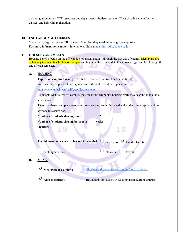on immigration issues, TTU resources and departments. Students get their ID cards, advisement for their classes, and help with registration.

#### **10. ESL LANGUAGE COURSES**

Student may register for the ESL courses if they feel they need more language exposure. For more information contact: International Education at Intl adm@tntech.edu

#### **11. HOUSING AND MEALS**

Housing benefits begin on the official date of arrival and last through the last day of exams. Meal plans are obligatory to students who live on campus and begin on the official date that classes begin and last through the end of each semester.

#### **A. HOUSING**

**Type of on campus housing provided:** Residence hall (no kitchen facilities)

Students must apply for housing in advance through an online application:

<https://www.tntech.edu/reslife/applications.php>

If students wish to live off campus, they must find temporary housing while they search for available

apartments.

There are also on campus apartments, however they are unfurnished and students must apply well in

advance to reserve one.

**Number of students sharing room:** 2

**Number of students sharing bathroom** varies

**facilities:** 

|  | The following services are checked if provided: $\Box$ bed linens $\Box$ laundry facilities |  |  |
|--|---------------------------------------------------------------------------------------------|--|--|
|  |                                                                                             |  |  |

 $\Box$  blankets  $\Box$  towels

## **B. MEALS**

**Meal Plan at Cafeteria** <http://www.dineoncampus.com/ttu/?cmd=residents>

 $\overline{5}$ 1

**Area restaurants** Restaurants are located in walking distance from campus.